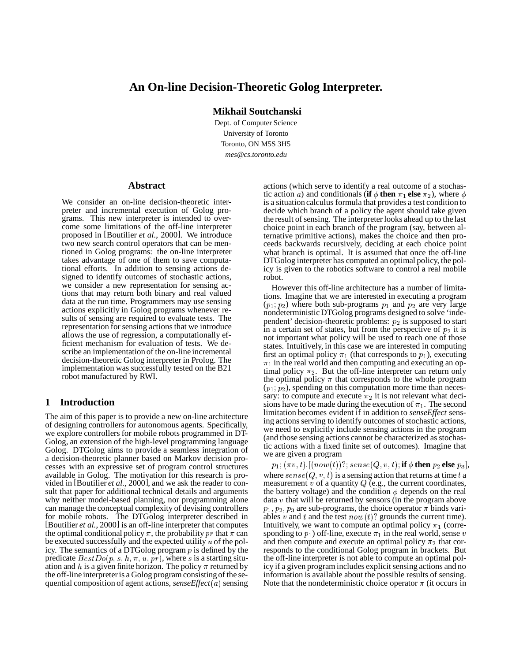# **An On-line Decision-Theoretic Golog Interpreter.**

**Mikhail Soutchanski**

Dept. of Computer Science University of Toronto Toronto, ON M5S 3H5 *mes@cs.toronto.edu*

#### **Abstract**

We consider an on-line decision-theoretic interpreter and incremental execution of Golog programs. This new interpreter is intended to overcome some limitations of the off-line interpreter proposed in [Boutilier *et al.*, 2000]. We introduce two new search control operators that can be mentioned in Golog programs: the on-line interpreter takes advantage of one of them to save computational efforts. In addition to sensing actions designed to identify outcomes of stochastic actions, we consider a new representation for sensing actions that may return both binary and real valued data at the run time. Programmers may use sensing actions explicitly in Golog programs whenever results of sensing are required to evaluate tests. The representation for sensing actions that we introduce allows the use of regression, a computationally efficient mechanism for evaluation of tests. We describe an implementation of the on-line incremental decision-theoretic Golog interpreter in Prolog. The implementation was successfully tested on the B21 robot manufactured by RWI.

### **1 Introduction**

The aim of this paper is to provide a new on-line architecture of designing controllers for autonomous agents. Specifically, we explore controllers for mobile robots programmed in DT-Golog, an extension of the high-level programming language Golog. DTGolog aims to provide a seamless integration of a decision-theoretic planner based on Markov decision processes with an expressive set of program control structures available in Golog. The motivation for this research is provided in [Boutilier *et al.*, 2000], and we ask the reader to consult that paper for additional technical details and arguments why neither model-based planning, nor programming alone can manage the conceptual complexity of devising controllers for mobile robots. The DTGolog interpreter described in [Boutilier *et al.*, 2000] is an off-line interpreter that computes the optimal conditional policy  $\pi$ , the probability  $pr$  that  $\pi$  can spon be executed successfully and the expected utility  $u$  of the policy. The semantics of a DTGolog program  $p$  is defined by the predicate  $BestDo(p, s, h, \pi, u, pr)$ , where s is a starting situation and  $h$  is a given finite horizon. The policy  $\pi$  returned by the off-line interpreteris a Golog program consistingof the sequential composition of agent actions, *senseEffect*( $a$ ) sensing

actions (which serve to identify a real outcome of a stochastic action a) and conditionals (**if**  $\phi$  **then**  $\pi_1$  **else**  $\pi_2$ ), where  $\phi$ is a situation calculus formula that provides a test condition to decide which branch of a policy the agent should take given the result of sensing. The interpreter looks ahead up to the last choice point in each branch of the program (say, between alternative primitive actions), makes the choice and then proceeds backwards recursively, deciding at each choice point what branch is optimal. It is assumed that once the off-line DTGolog interpreter has computed an optimal policy, the policy is given to the robotics software to control a real mobile robot.

However this off-line architecture has a number of limitations. Imagine that we are interested in executing a program  $(p_1; p_2)$  where both sub-programs  $p_1$  and  $p_2$  are very large nondeterministic DTGolog programs designed to solve 'independent' decision-theoretic problems:  $p_2$  is supposed to start in a certain set of states, but from the perspective of  $p_2$  it is not important what policy will be used to reach one of those states. Intuitively, in this case we are interested in computing first an optimal policy  $\pi_1$  (that corresponds to  $p_1$ ), executing  $\pi_1$  in the real world and then computing and executing an optimal policy  $\pi_2$ . But the off-line interpreter can return only the optimal policy  $\pi$  that corresponds to the whole program  $(p_1; p_2)$ , spending on this computation more time than necessary: to compute and execute  $\pi_2$  it is not relevant what decisions have to be made during the execution of  $\pi_1$ . The second limitation becomes evident if in addition to *senseEffect* sensing actions serving to identify outcomes of stochastic actions, we need to explicitly include sensing actions in the program (and those sensing actions cannot be characterized as stochastic actions with a fixed finite set of outcomes). Imagine that we are given a program

 $p_1;(\pi v,t)$  . [( $now(t))$  ?;  $sense(Q,v,t)$ ; **if**  $\phi$  **then**  $p_2$  **else**  $p_3$ ], where  $\mathit{sense}(Q,v,t)$  is a sensing action that returns at time  $t$  a measurement v of a quantity  $Q$  (e.g., the current coordinates, the battery voltage) and the condition  $\phi$  depends on the real data  $v$  that will be returned by sensors (in the program above  $p_1, p_2, p_3$  are sub-programs, the choice operator  $\pi$  binds variables v and t and the test  $now(t)$ ? grounds the current time). Intuitively, we want to compute an optimal policy  $\pi_1$  (corresponding to  $p_1$ ) off-line, execute  $\pi_1$  in the real world, sense  $v$ and then compute and execute an optimal policy  $\pi_2$  that corresponds to the conditional Golog program in brackets. But the off-line interpreter is not able to compute an optimal policy if a given program includes explicit sensing actions and no information is available about the possible results of sensing. Note that the nondeterministic choice operator  $\pi$  (it occurs in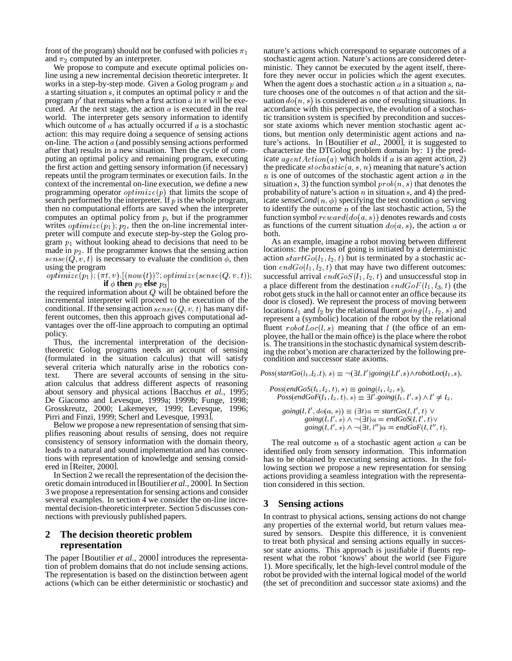front of the program) should not be confused with policies  $\pi_1$ and  $\pi_2$  computed by an interpreter.

We propose to compute and execute optimal policies online using a new incremental decision theoretic interpreter. It works in a step-by-step mode. Given a Golog program  $p$  and a starting situation  $s$ , it computes an optimal policy  $\pi$  and the program  $p'$  that remains when a first action  $a$  in  $\pi$  will be executed. At the next stage, the action  $a$  is executed in the real world. The interpreter gets sensory information to identify which outcome of  $\alpha$  has actually occurred if  $\alpha$  is a stochastic action: this may require doing a sequence of sensing actions on-line. The action  $a$  (and possibly sensing actions performed after that) results in a new situation. Then the cycle of computing an optimal policy and remaining program, executing the first action and getting sensory information (if necessary) repeats until the program terminates or execution fails. In the context of the incremental on-line execution, we define a new programming operator  $\text{optimize}(p)$  that limits the scope of search performed by the interpreter. If  $p$  is the whole program, then no computational efforts are saved when the interpreter computes an optimal policy from  $p$ , but if the programmer writes  $\textit{optimize}(p_1)$ ;  $p_2$ , then the on-line incremental interpreter will compute and execute step-by-step the Golog program  $p_1$  without looking ahead to decisions that need to be made in  $p_2$ . If the programmer knows that the sensing action  $sense(Q, v, t)$  is necessary to evaluate the condition  $\phi$ , then using the program

$$
optimize(p_1); (\pi t, v).[(now(t))?; optimize(sense(Q, v, t)); \newline \text{if } \phi \text{ then } p_2 \text{ else } p_3]
$$

the required information about  $Q$  will be obtained before the incremental interpreter will proceed to the execution of the conditional. If the sensing action  $\mathit{sense}(Q, v, t)$  has many different outcomes, then this approach gives computational advantages over the off-line approach to computing an optimal policy.

Thus, the incremental interpretation of the decisiontheoretic Golog programs needs an account of sensing (formulated in the situation calculus) that will satisfy several criteria which naturally arise in the robotics context. There are several accounts of sensing in the situation calculus that address different aspects of reasoning about sensory and physical actions [Bacchus *et al.*, 1995; De Giacomo and Levesque, 1999a; 1999b; Funge, 1998; Grosskreutz, 2000; Lakemeyer, 1999; Levesque, 1996; Pirri and Finzi, 1999; Scherl and Levesque, 1993].

Below we propose a new representation of sensing that simplifies reasoning about results of sensing, does not require consistency of sensory information with the domain theory, leads to a natural and sound implementation and has connections with representation of knowledge and sensing considered in [Reiter, 2000].

In Section 2 we recall the representation of the decision theoretic domain introduced in [Boutilier *et al.*, 2000]. In Section 3 we propose a representation forsensing actions and consider several examples. In section 4 we consider the on-line incremental decision-theoretic interpreter. Section 5 discusses connections with previously published papers.

### **2 The decision theoretic problem representation**

The paper [Boutilier *et al.*, 2000] introduces the representation of problem domains that do not include sensing actions. The representation is based on the distinction between agent actions (which can be either deterministic or stochastic) and nature's actions which correspond to separate outcomes of a stochastic agent action. Nature's actions are considered deterministic. They cannot be executed by the agent itself, therefore they never occur in policies which the agent executes. When the agent does a stochastic action  $\alpha$  in a situation  $\alpha$ , nature chooses one of the outcomes  $n$  of that action and the situation  $do(n, s)$  is considered as one of resulting situations. In accordance with this perspective, the evolution of a stochastic transition system is specified by precondition and successor state axioms which never mention stochastic agent actions, but mention only deterministic agent actions and nature's actions. In [Boutilier *et al.*, 2000], it is suggested to characterize the DTGolog problem domain by: 1) the predicate  $agentAction(a)$  which holds if a is an agent action, 2) the predicate  $stochastic(a, s, n)$  meaning that nature's action  $n$  is one of outcomes of the stochastic agent action  $\alpha$  in the situation s, 3) the function symbol  $prob(n, s)$  that denotes the probability of nature's action  $n$  in situation  $s$ , and 4) the predicate *senseCond*( $n, \phi$ ) specifying the test condition  $\phi$  serving to identify the outcome  $n$  of the last stochastic action, 5) the function symbol  $reward(do(a, s))$  denotes rewards and costs as functions of the current situation  $do(a, s)$ , the action a or both.

t)); successful arrival  $endGoS(l_1, l_2, t)$  and unsuccessful stop in As an example, imagine a robot moving between different locations: the process of going is initiated by a deterministic action  $startGo(l_1, l_2, t)$  but is terminated by a stochastic action  $endGo(l_1, l_2, t)$  that may have two different outcomes: a place different from the destination  $endGoF(l_1, l_3, t)$  (the robot gets stuck in the hall or cannot enter an office because its door is closed). We represent the process of moving between locations  $l_1$  and  $l_2$  by the relational fluent  $going(l_1, l_2, s)$  and represent a (symbolic) location of the robot by the relational fluent  $robotLoc(l, s)$  meaning that l (the office of an employee, the hall or the main office) is the place where the robot is. The transitionsin the stochastic dynamical system describing the robot's motion are characterized by the following precondition and successor state axioms.

 $Poss(startGo(l_1, l_2, t), s) \equiv \neg(\exists l, l') going(l, l', s) \land robotLoc(l_1, s),$ 

 $Poss(endGoS(l_1, l_2, t), s) \equiv going(l_1, l_2, s),$  $Poss(endGoF(l_1, l_2, t), s) \equiv \exists l'.going(l_1, l', s) \wedge l' \neq l_2,$ 

$$
going(l, l', do(a, s)) \equiv (\exists t)a = startGo(l, l', t) \lor
$$
  
\n
$$
going(l, l', s) \land \neg(\exists t)a = endGoS(l, l', t) \lor
$$
  
\n
$$
going(l, l', s) \land \neg(\exists t, l'')a = endGoF(l, l'', t).
$$

The real outcome  $n$  of a stochastic agent action  $\alpha$  can be identified only from sensory information. This information has to be obtained by executing sensing actions. In the following section we propose a new representation for sensing actions providing a seamless integration with the representation considered in this section.

# **3 Sensing actions**

In contrast to physical actions, sensing actions do not change any properties of the external world, but return values measured by sensors. Despite this difference, it is convenient to treat both physical and sensing actions equally in successor state axioms. This approach is justifiable if fluents represent what the robot 'knows' about the world (see Figure 1). More specifically, let the high-level control module of the robot be provided with the internal logical model of the world (the set of precondition and successor state axioms) and the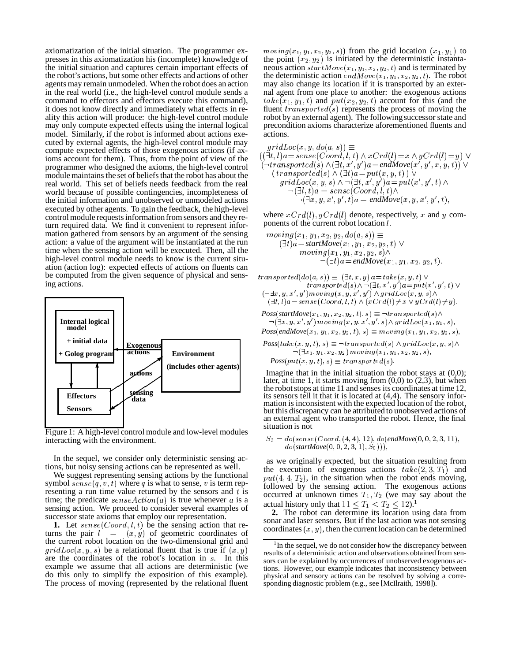axiomatization of the initial situation. The programmer expresses in this axiomatization his (incomplete) knowledge of the initial situation and captures certain important effects of the robot's actions, butsome other effects and actions of other agents may remain unmodeled. When the robot does an action in the real world (i.e., the high-level control module sends a command to effectors and effectors execute this command), it does not know directly and immediately what effects in reality this action will produce: the high-level control module may only compute expected effects using the internal logical model. Similarly, if the robot is informed about actions executed by external agents, the high-level control module may compute expected effects of those exogenous actions (if axioms account for them). Thus, from the point of view of the programmer who designed the axioms, the high-level control module maintains the set of beliefs that the robot has about the real world. This set of beliefs needs feedback from the real world because of possible contingencies, incompleteness of the initial information and unobserved or unmodeled actions executed by other agents. To gain the feedback, the high-level control module requests information from sensors and they return required data. We find it convenient to represent information gathered from sensors by an argument of the sensing action: a value of the argument will be instantiated at the run time when the sensing action will be executed. Then, all the high-level control module needs to know is the current situation (action log): expected effects of actions on fluents can be computed from the given sequence of physical and sensing actions.



Figure 1: A high-level control module and low-level modules interacting with the environment.

In the sequel, we consider only deterministic sensing actions, but noisy sensing actions can be represented as well.

We suggest representing sensing actions by the functional symbol  $\textit{sense}(q, v, t)$  where q is what to sense, v is term representing a run time value returned by the sensors and  $t$  is time; the predicate  $\mathit{senseAction}(a)$  is true whenever a is a sensing action. We proceed to consider several examples of successor state axioms that employ our representation.

**1.** Let  $\mathit{sense}(Coord, l, t)$  be the sensing action that returns the pair  $l = (x, y)$  of geometric coordinates of the current robot location on the two-dimensional grid and  $gridLoc(x, y, s)$  be a relational fluent that is true if  $(x, y)$ are the coordinates of the robot's location in s. In this example we assume that all actions are deterministic (we do this only to simplify the exposition of this example). The process of moving (represented by the relational fluent

 $moving(x_1, y_1, x_2, y_2, s))$  from the grid location  $(x_1, y_1)$  to the point  $(x_2, y_2)$  is initiated by the deterministic instantaneous action  $startMove(x_1, y_1, x_2, y_2, t)$  and is terminated by the deterministic action  $endMove(x_1, y_1, x_2, y_2, t)$ . The robot may also change its location if it is transported by an external agent from one place to another: the exogenous actions  $take(x_1, y_1, t)$  and  $put(x_2, y_2, t)$  account for this (and the fluent  $transported(s)$  represents the process of moving the robot by an external agent). The following successor state and precondition axioms characterize aforementioned fluents and actions.

 $gridLoc(x, y, do(a, s)) \equiv$ -(0 "
-) " \*\$"0 6- -% +\*,- - ,.\*,
 - /
0'0  $(\neg transformed(s) \land (\exists t, x', y') \allowbreak a = \allowbreak endMove(x', y', x, y, t)) \allowbreak \lor$  -\*\$- - 2\* (0 -) "
3 320  $gridLoc(x, y, s) \wedge \neg (\exists t, x', y') \land x = put(x', y', t) \land$ 5\*  $\frac{1}{1}$  (  $\frac{1}{1}$  ) (  $\frac{1}{1}$  ) (  $\frac{1}{1}$  ) (  $\frac{1}{1}$  ) (  $\frac{1}{1}$  ) (  $\frac{1}{1}$  ) (  $\frac{1}{1}$  ) (  $\frac{1}{1}$  ) (  $\frac{1}{1}$  ) (  $\frac{1}{1}$  ) (  $\frac{1}{1}$  ) (  $\frac{1}{1}$  ) (  $\frac{1}{1}$  ) (  $\frac{1}{1}$  ) (  $\frac{1}{1}$  ) (  $\neg(\exists x, y, x', y', t)$ a = endMove $(x, y, x', y', t)$ ,

where  $xCrd(l)$ ,  $yCrd(l)$  denote, respectively, x and y components of the current robot location *l*.

$$
moving(x_1, y_1, x_2, y_2, do(a, s)) \equiv
$$
  
\n
$$
(\exists t)a = startMove(x_1, y_1, x_2, y_2, t) \lor
$$
  
\n
$$
moving(x_1, y_1, x_2, y_2, s) \land
$$
  
\n
$$
\neg(\exists t)a = endMove(x_1, y_1, x_2, y_2, t).
$$

 $transported(a o(a, s)) \equiv \exists t, x, y \in a = take(x, y, t)$  $transporte a(s) \wedge \neg (\exists t, x, y) a = put(x, y, t) \vee$ 

$$
(\neg \exists x, y, x', y') \, moving(x, y, x', y') \land grid \, Loc(x, y, s) \land (\exists t, l) \, a = sense(Coord, l, t) \land (xCrd(l) \neq x \lor yCrd(l) \neq y).
$$

 $Poss(startMove(x_1, y_1, x_2, y_2, t), s) \equiv \neg transfected(s) \land$  $\neg$  ( $\exists x, y, x, y \in m$  overall  $x, y, x, y \in s$  )  $\land$  and  $\phi$  centers  $x_1, y_1, s$  ).  $Poss(endMove(x_1, y_1, x_2, y_2, t), s) \equiv moving(x_1, y_1, x_2, y_2, s),$ 

$$
Poss(take(x, y, t), s) \equiv \neg transported(s) \land gridLoc(x, y, s) \land \neg(\exists x_1, y_1, x_2, y_2) moving(x_1, y_1, x_2, y_2, s),
$$

$$
Poss(put(x, y, t), s) \equiv transported(s).
$$

Imagine that in the initial situation the robot stays at (0,0); later, at time 1, it starts moving from  $(0,0)$  to  $(2,3)$ , but when the robot stops at time 11 and senses its coordinates at time 12, its sensors tell it that it is located at (4,4). The sensory information is inconsistent with the expected location of the robot, but this discrepancy can be attributed to unobserved actions of an external agent who transported the robot. Hence, the final situation is not

$$
S_3 = do(sense(Coord, (4, 4), 12), do(endMove(0, 0, 2, 3, 11), do(startMove(0, 0, 2, 3, 1), S_0))),
$$

as we originally expected, but the situation resulting from the execution of exogenous actions  $take(2, 3, T<sub>1</sub>)$  and  $put(4, 4, T_2)$ , in the situation when the robot ends moving, followed by the sensing action. The exogenous actions occurred at unknown times  $T_1, T_2$  (we may say about the actual history only that  $11 \leq T_1 < T_2 \leq 12$ .<sup>1</sup>

**2.** The robot can determine its location using data from sonar and laser sensors. But if the last action was not sensing coordinates  $(x, y)$ , then the current location can be determined

<sup>&</sup>lt;sup>1</sup> In the sequel, we do not consider how the discrepancy between results of a deterministic action and observations obtained from sensors can be explained by occurrences of unobserved exogenous actions. However, our example indicates that inconsistency between physical and sensory actions can be resolved by solving a corresponding diagnostic problem (e.g., see [McIlraith, 1998]).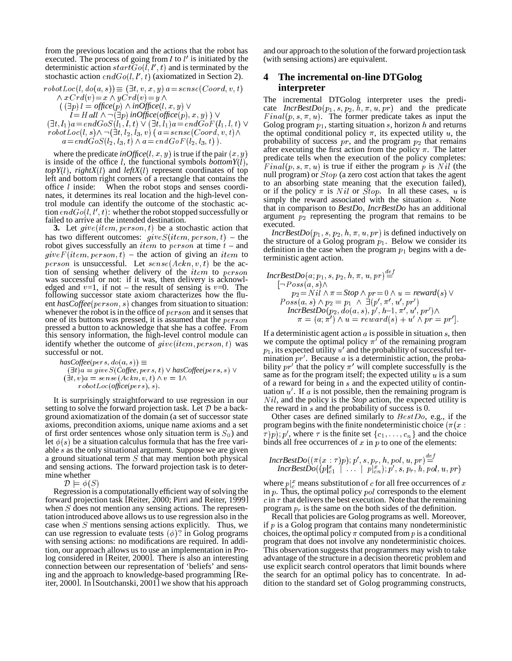from the previous location and the actions that the robot has executed. The process of going from  $l$  to  $l'$  is initiated by the deterministic action  $startGo(l, l', t)$  and is terminated by the stochastic action  $endGo(l, l', t)$  (axiomatized in Section 2).

$$
robotLoc(l, do(a, s)) \equiv (\exists t, v, x, y) a = sense(Coord, v, t)
$$
  
\n
$$
\land xCrd(v) = x \land yCrd(v) = y \land
$$
  
\n
$$
(\exists p) l = office(p) \land inOffice(l, x, y) \lor
$$
  
\n
$$
l = Hall \land \neg(\exists p) inOffice(offset(p), x, y) ) \lor
$$
  
\n
$$
(\exists t, l_1)a = endGoS(l_1, l, t) \lor (\exists t, l_1)a = endGoF(l_1, l, t) \lor
$$
  
\n
$$
robotLoc(l, s) \land \neg(\exists t, l_2, l_3, v) (a = sense(Coord, v, t) \land
$$

 $a = en \triangleleft \cup o \triangleleft \{ i_2, i_3, i_4 \} \wedge a = en \triangleleft \cup o \triangleleft \{ i_2, i_3, i_4 \} \right \}.$ 

where the predicate *inOffice*(*l*, *x*, *y*) is true if the pair  $(x, y)$ is inside of the office  $l$ , the functional symbols *bottomY* $(l)$ ,  $topY(l)$ ,  $rightX(l)$  and  $leftX(l)$  represent coordinates of top left and bottom right corners of a rectangle that contains the office  $l$  inside: When the robot stops and senses coordinates, it determines its real location and the high-level control module can identify the outcome of the stochastic action  $endGo(l, l', t)$ : whether the robot stopped successfully or failed to arrive at the intended destination.

**3.** Let  $give(item, person, t)$  be a stochastic action that has two different outcomes:  $give S(item, person, t) - the$ robot gives successfully an *item* to *person* at time  $t$  – and  $give F(item, person, t)$  – the action of giving an *item* to terministic person is unsuccessful. Let  $\mathit{sense}(Ackn, v, t)$  be the action of sensing whether delivery of the *item* to person  $I_{\text{ncr}}$ was successful or not: if it was, then delivery is acknowledged and  $v=1$ , if not – the result of sensing is  $v=0$ . The following successor state axiom characterizes how the fluent *hasCoffee*( $person, s$ ) changes from situation to situation: whenever the robot is in the office of  $person$  and it senses that one of its buttons was pressed, it is assumed that the  $person$ pressed a button to acknowledge that she has a coffee. From this sensory information, the high-level control module can identify whether the outcome of  $give (item, person, t)$  was successful or not.

$$
has Coffee (pers, do(a, s)) \equiv (\exists t)a = gives (Coffee, pers, t) \lor has Coffee (pers, s) \lor \qquad \qquad \text{bilii} (\exists t, v)a = sense(Ackn, v, t) \land v = 1 \land \qquad \qquad \text{sam} robot Loc(office (pers), s).
$$
of a

It is surprisingly straightforward to use regression in our setting to solve the forward projection task. Let  $D$  be a background axiomatization of the domain (a set of successor state axioms, precondition axioms, unique name axioms and a set of first order sentences whose only situation term is  $S_0$ ) and let  $\phi(s)$  be a situation calculus formula that has the free variable  $s$  as the only situational argument. Suppose we are given a ground situational term  $S$  that may mention both physical and sensing actions. The forward projection task is to determine whether

 

Regression is a computationally efficient way of solving the forward projection task [Reiter, 2000; Pirri and Reiter, 1999] when  $S$  does not mention any sensing actions. The representation introduced above allows us to use regression also in the case when  $S$  mentions sensing actions explicitly. Thus, we can use regression to evaluate tests  $(\phi)$ ? in Golog programs with sensing actions: no modifications are required. In addition, our approach allows us to use an implementation in Prolog considered in [Reiter, 2000]. There is also an interesting connection between our representation of 'beliefs' and sensing and the approach to knowledge-based programming [Reiter, 2000]. In [Soutchanski, 2001] we show that his approach and our approach to the solution of the forward projection task (with sensing actions) are equivalent.

## **4 The incremental on-line DTGolog interpreter**

t)  $\vee$  Golog program  $p_1$ , starting situation s, horizon h and returns  $t/\wedge$  the optimal conditional policy  $\pi$ , its expected utility u, the The incremental DTGolog interpreter uses the predicate  $IncrBestDo(p_1, s, p_2, h, \pi, u, pr)$  and the predicate  $Final(p, s, \pi, u)$ . The former predicate takes as input the probability of success  $pr$ , and the program  $p_2$  that remains after executing the first action from the policy  $\pi$ . The latter predicate tells when the execution of the policy completes:  $Final(p, s, \pi, u)$  is true if either the program p is Nil (the null program) or  $Stop$  (a zero cost action that takes the agent to an absorbing state meaning that the execution failed), or if the policy  $\pi$  is N il or Stop. In all these cases, u is simply the reward associated with the situation  $s$ . Note that in comparison to *BestDo*, *IncrBestDo* has an additional argument  $p_2$  representing the program that remains to be executed.

> $IncrBestDo(p_1, s, p_2, h, \pi, u, pr)$  is defined inductively on the structure of a Golog program  $p_1$ . Below we consider its definition in the case when the program  $p_1$  begins with a deterministic agent action.

$$
IncrBestDo(a; p_1, s, p_2, h, \pi, u, pr) \stackrel{def}{=} \n\begin{cases}\n\lceil -P \, \text{os}(a, s) \wedge \\
p_2 = N \, \text{il} \wedge \pi = \text{Stop} \wedge pr = 0 \wedge u = \text{reward}(s) \vee \\
\text{Poss}(a, s) \wedge p_2 = p_1 \wedge \exists (p', \pi', u', pr') \\
\text{IncrBestDo}(p_2, \text{do}(a, s), p', h-1, \pi', u', pr') \wedge \\
\pi = (a; \pi') \wedge u = \text{reward}(s) + u' \wedge pr = pr']\n\end{cases}
$$

If a deterministic agent action  $a$  is possible in situation  $s$ , then we compute the optimal policy  $\pi^r$  of the remaining program  $p_1$ , its expected utility  $u'$  and the probability of successful termination  $pr'$ . Because a is a deterministic action, the probability  $pr'$  that the policy  $\pi'$  will complete successfully is the same as for the program itself; the expected utility  $u$  is a sum of a reward for being in  $s$  and the expected utility of continuation  $u'$ . If a is not possible, then the remaining program is  $N$ *il*, and the policy is the *Stop* action, the expected utility is the reward in  $s$  and the probability of success is 0.

Other cases are defined similarly to  $BestDo$ , e.g., if the program begins with the finite nondeterministic choice ( $\pi(x)$  $\{\tau(p); p', \text{ where } \tau \text{ is the finite set } \{c_1, \ldots, c_n\} \text{ and the choice }$ binds all free occurrences of  $x$  in  $p$  to one of the elements:

$$
IncrBestDo((\pi(x : \tau)p); p', s, p_r, h, pol, u, pr) \stackrel{def}{=} \newline IncrBestDo((p|_{c1}^x \mid \ldots \mid p|_{cn}^x); p', s, p_r, h, pol, u, pr)
$$

where  $p \, \vert_{c}^{x}$  means substitution of c for all free occurrences of x in  $p$ . Thus, the optimal policy  $pol$  corresponds to the element  $\epsilon$  in  $\tau$  that delivers the best execution. Note that the remaining program  $p_r$  is the same on the both sides of the definition.

Recall that policies are Golog programs as well. Moreover, if  $p$  is a Golog program that contains many nondeterministic choices, the optimal policy  $\pi$  computed from p is a conditional program that does not involve any nondeterministic choices. This observation suggests that programmers may wish to take advantage of the structure in a decision theoretic problem and use explicit search control operators that limit bounds where the search for an optimal policy has to concentrate. In addition to the standard set of Golog programming constructs,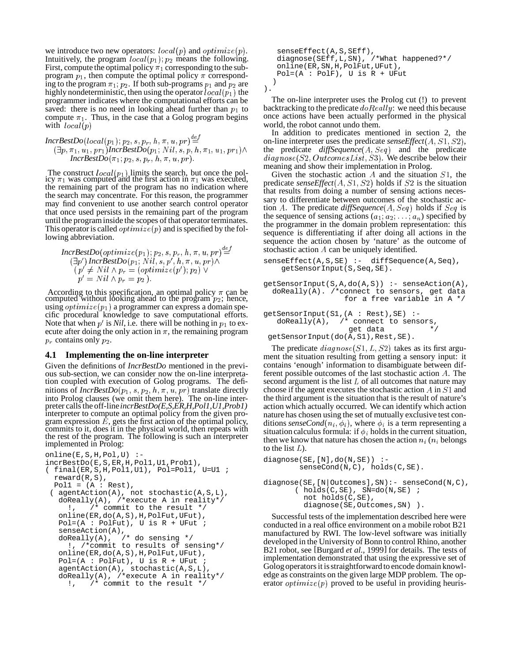we introduce two new operators:  $local(p)$  and  $optimize(p)$ . Intuitively, the program  $local(p_1)$ ,  $p_2$  means the following. First, compute the optimal policy  $\pi_1$  corresponding to the subprogram  $p_1$ , then compute the optimal policy  $\pi$  corresponding to the program  $\pi_1$ ;  $p_2$ . If both sub-programs  $p_1$  and  $p_2$  are highly nondeterministic, then using the operator  $local(p_1)$  the programmer indicates where the computational efforts can be saved: there is no need in looking ahead further than  $p_1$  to back compute  $\pi_1$ . Thus, in the case that a Golog program begins with  $local(p)$ 

$$
IncrBestDo(local(p_1); p_2, s, p_r, h, \pi, u, pr) \stackrel{def}{=} \\ (\exists p, \pi_1, u_1, pr_1) IncrBestDo(p_1; Nil, s, p, h, \pi_1, u_1, pr_1) \land \\ IncrBestDo(\pi_1; p_2, s, p_r, h, \pi, u, pr).
$$

The construct  $local(p_1)$  limits the search, but once the pol-<br>icy  $\pi_1$  was computed and the first action in  $\pi_1$  was executed, the remaining part of the program has no indication where the search may concentrate. For this reason, the programmer may find convenient to use another search control operator that once used persists in the remaining part of the program until the program inside the scopes of that operator terminates. This operator is called  $\textit{optimize}(p)$  and is specified by the following abbreviation.

$$
IncrBestDo(optimize(p_1); p_2, s, p_r, h, \pi, u, pr) \stackrel{def}{=} \n\begin{array}{ll}\n\text{Stock} \\
(\exists p') \text{ IncrBestDo}(p_1; Nil, s, p', h, \pi, u, pr) \wedge \\
(p' \neq Nil \wedge p_r = (optimize(p'); p_2) \vee \\
p' = Nil \wedge p_r = p_2).\n\end{array}
$$

-\*! .

'&

According to this specification, an optimal policy  $\pi$  can be computed without looking ahead to the program  $p_2$ ; hence, using  $\textit{optimize}(p_1)$  a programmer can express a domain specific procedural knowledge to save computational efforts. Note that when  $p'$  is *Nil*, i.e. there will be nothing in  $p_1$  to execute after doing the only action in  $\pi$ , the remaining program  $p_r$  contains only  $p_2$ .

#### **4.1 Implementing the on-line interpreter**

7-

Given the definitions of *IncrBestDo* mentioned in the previous sub-section, we can consider now the on-line interpretation coupled with execution of Golog programs. The definitions of  $IncrBestDo(p_1, s, p_2, h, \pi, u, pr)$  translate directly into Prolog clauses (we omit them here). The on-line interpreter calls the off-line *incrBestDo(E,S,ER,H,Pol1,U1,Prob1)* interpreter to compute an optimal policy from the given program expression  $\hat{E}$ , gets the first action of the optimal policy, commits to it, does it in the physical world, then repeats with the rest of the program. The following is such an interpreter implemented in Prolog:

```
online(E,S,H,Pol,U) :-
incrBestDo(E,S,ER,H,Pol1,U1,Prob1),
( final(ER,S,H,Pol1,U1), Pol=Pol1, U=U1 ;
 reward(R,S),
 Poll = (A : Rest),( agentAction(A), not stochastic(A,S,L),
  doReally(A), /*execute A in reality*/
     !, /* commit to the result */
  online(ER,do(A,S),H,PolFut,UFut),
  Pol=(A : PolFut), U is R + UFut ;
   senseAction(A),
   doReally(A), /* do sensing */
     !, /*commit to results of sensing*/
   online(ER,do(A,S),H,PolFut,UFut),
  Pol=(A : PolFut), U is R + UFut ;
   agentAction(A), stochastic(A,S,L),
   doReally(A), /*execute A in reality*/
     !, /* commit to the result */
```

```
senseEffect(A,S,SEff),
diagnose(SEff,L,SN), /*What happened?*/
online(ER,SN,H,PolFut,UFut),
Pol=(A : PolF), U is R + UFut)
```

```
).
```
The on-line interpreter uses the Prolog cut (!) to prevent backtracking to the predicate  $doReally$ : we need this because once actions have been actually performed in the physical world, the robot cannot undo them.

 $t_1$ ) $\wedge$  the predicate *diffSequence*(*A*, *Seq*) and the predicate In addition to predicates mentioned in section 2, the on-line interpreter uses the predicate  $\mathit{senseEffect}(A, S1, S2)$ ,  $diagnose(S2, OutcomesList, S3).$  We describe below their meaning and show their implementation in Prolog.

Given the stochastic action  $A$  and the situation  $S1$ , the predicate  $\text{senseEffect}(A, S1, S2)$  holds if  $S2$  is the situation that results from doing a number of sensing actions necessary to differentiate between outcomes of the stochastic action A. The predicate  $diffSequence(A, Seq)$  holds if  $Seq$  is the sequence of sensing actions  $(a_1, a_2, \ldots, a_n)$  specified by the programmer in the domain problem representation: this sequence is differentiating if after doing all actions in the sequence the action chosen by 'nature' as the outcome of stochastic action  $A$  can be uniquely identified.

```
senseEffect(A,S,SE) :- diffSequence(A,Seq),
   getSensorInput(S,Seq,SE).
```

```
getSensorInput(S,A,do(A,S)) :- senseAction(A),
 doReally(A). /*connect to sensors, get data
                  for a free variable in A */
```

```
getSensorInput(S1,(A : Rest), SE) :-<br>doReally(A), /* connect to sens
                        \prime* connect to sensors,
                           get data
 getSensorInput(do(A,S1),Rest,SE).
```
The predicate  $diagnose(S1, L, S2)$  takes as its first argument the situation resulting from getting a sensory input: it contains 'enough' information to disambiguate between different possible outcomes of the last stochastic action  $A$ . The second argument is the list  $L$  of all outcomes that nature may choose if the agent executes the stochastic action  $A$  in  $S1$  and the third argument is the situation that is the result of nature's action which actually occurred. We can identify which action nature has chosen using the set of mutually exclusive test conditions *senseCond*( $n_i$ ,  $\phi_i$ ), where  $\phi_i$  is a term representing a situation calculus formula: if  $\phi_i$  holds in the current situation, then we know that nature has chosen the action  $n_i$  ( $n_i$  belongs to the list  $L$ ).

```
diagnose(SE, [N], do(N, SE)) :-
        senseCond(N,C), holds(C,SE).
```
diagnose(SE,[N|Outcomes],SN):- senseCond(N,C), (  $\verb|holds(C,SE)|$  ,  $\verb|SN=do(N,SE)|$  ; not holds(C,SE), diagnose(SE,Outcomes,SN) ).

Successful tests of the implementation described here were conducted in a real office environment on a mobile robot B21 manufactured by RWI. The low-level software was initially developed in the University of Bonn to control Rhino, another B21 robot, see [Burgard *et al.*, 1999] for details. The tests of implementation demonstrated that using the expressive set of Golog operators it is straightforward to encode domain knowledge as constraints on the given large MDP problem. The operator  $\textit{optimize}(p)$  proved to be useful in providing heuris